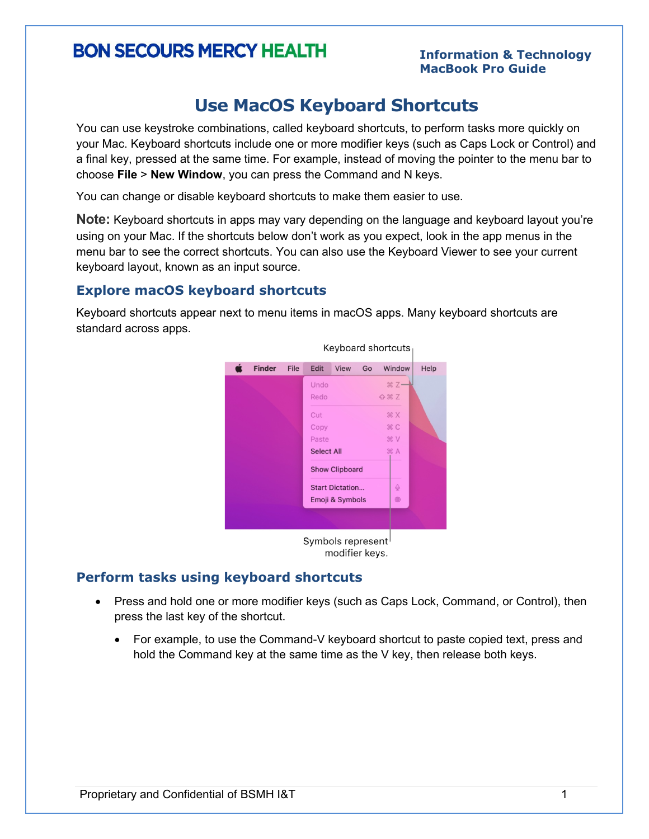# **BON SECOURS MERCY HEALTH**

#### **Information & Technology MacBook Pro Guide**

### **Use MacOS Keyboard Shortcuts**

You can use keystroke combinations, called keyboard shortcuts, to perform tasks more quickly on your Mac. Keyboard shortcuts include one or more modifier keys (such as Caps Lock or Control) and a final key, pressed at the same time. For example, instead of moving the pointer to the menu bar to choose **File** > **New Window**, you can press the Command and N keys.

You can change or disable keyboard shortcuts to make them easier to use.

**Note:** Keyboard shortcuts in apps may vary depending on the language and keyboard layout you're using on your Mac. If the shortcuts below don't work as you expect, look in the app menus in the menu bar to see the correct shortcuts. You can also use the Keyboard Viewer to see your current keyboard layout, known as an input source.

#### **Explore macOS keyboard shortcuts**

Keyboard shortcuts appear next to menu items in macOS apps. Many keyboard shortcuts are standard across apps.



#### **Perform tasks using keyboard shortcuts**

- Press and hold one or more modifier keys (such as Caps Lock, Command, or Control), then press the last key of the shortcut.
	- For example, to use the Command-V keyboard shortcut to paste copied text, press and hold the Command key at the same time as the V key, then release both keys.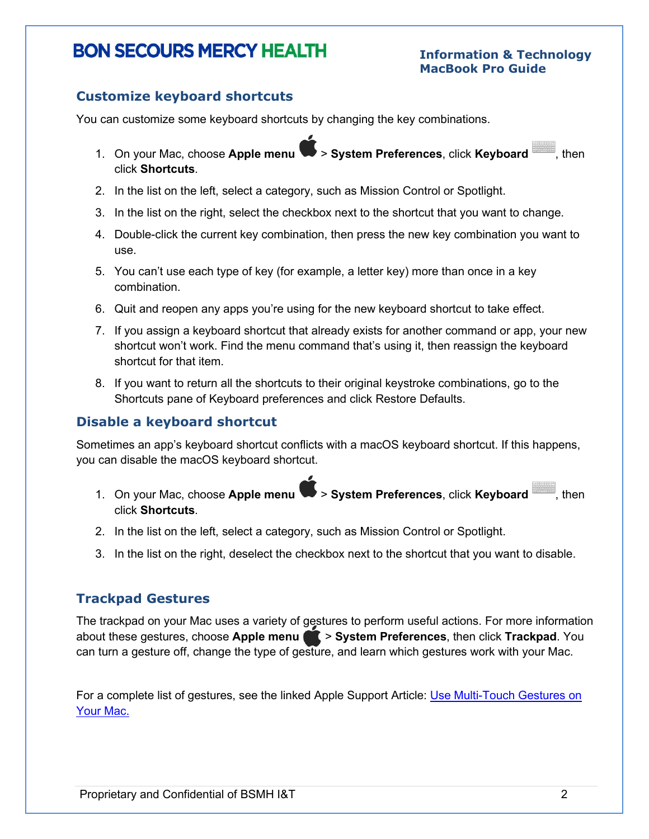## **BON SECOURS MERCY HEALTH**

#### **Information & Technology MacBook Pro Guide**

#### **Customize keyboard shortcuts**

You can customize some keyboard shortcuts by changing the key combinations.

- 1. On your Mac, choose **Apple menu** > **System Preferences**, click **Keyboard** , then click **Shortcuts**.
- 2. In the list on the left, select a category, such as Mission Control or Spotlight.
- 3. In the list on the right, select the checkbox next to the shortcut that you want to change.
- 4. Double-click the current key combination, then press the new key combination you want to use.
- 5. You can't use each type of key (for example, a letter key) more than once in a key combination.
- 6. Quit and reopen any apps you're using for the new keyboard shortcut to take effect.
- 7. If you assign a keyboard shortcut that already exists for another command or app, your new shortcut won't work. Find the menu command that's using it, then reassign the keyboard shortcut for that item.
- 8. If you want to return all the shortcuts to their original keystroke combinations, go to the Shortcuts pane of Keyboard preferences and click Restore Defaults.

#### **Disable a keyboard shortcut**

Sometimes an app's keyboard shortcut conflicts with a macOS keyboard shortcut. If this happens, you can disable the macOS keyboard shortcut.

- 1. On your Mac, choose **Apple menu** > **System Preferences**, click **Keyboard** , then click **Shortcuts**.
- 2. In the list on the left, select a category, such as Mission Control or Spotlight.
- 3. In the list on the right, deselect the checkbox next to the shortcut that you want to disable.

#### **Trackpad Gestures**

The trackpad on your Mac uses a variety of gestures to perform useful actions. For more information about these gestures, choose Apple menu **1 > System Preferences**, then click Trackpad. You can turn a gesture off, change the type of gesture, and learn which gestures work with your Mac.

For a complete list of gestures, see the linked Apple Support Article: [Use Multi-Touch Gestures on](https://support.apple.com/en-us/HT204895)  [Your Mac.](https://support.apple.com/en-us/HT204895)